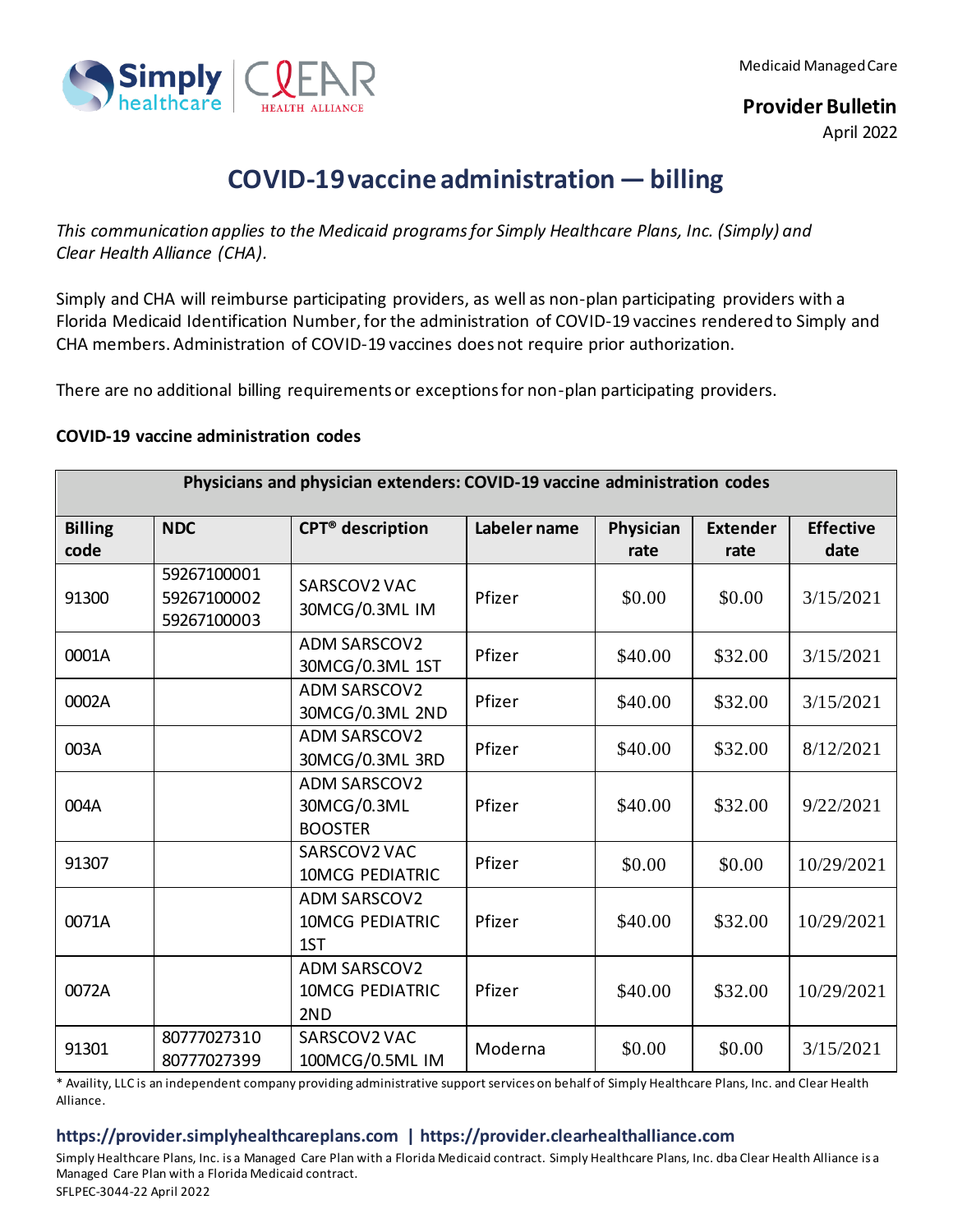

**Provider Bulletin**

April 2022

## **COVID-19 vaccine administration — billing**

*This communication applies to the Medicaid programs for Simply Healthcare Plans, Inc. (Simply) and Clear Health Alliance (CHA).*

Simply and CHA will reimburse participating providers, as well as non-plan participating providers with a Florida Medicaid Identification Number, for the administration of COVID-19 vaccines rendered to Simply and CHA members. Administration of COVID-19 vaccines does not require prior authorization.

There are no additional billing requirements or exceptions for non-plan participating providers.

## **COVID-19 vaccine administration codes**

| Physicians and physician extenders: COVID-19 vaccine administration codes |                                           |                                                      |              |           |                 |                  |  |  |
|---------------------------------------------------------------------------|-------------------------------------------|------------------------------------------------------|--------------|-----------|-----------------|------------------|--|--|
| <b>Billing</b>                                                            | <b>NDC</b>                                | <b>CPT<sup>®</sup></b> description                   | Labeler name | Physician | <b>Extender</b> | <b>Effective</b> |  |  |
| code                                                                      |                                           |                                                      |              | rate      | rate            | date             |  |  |
| 91300                                                                     | 59267100001<br>59267100002<br>59267100003 | SARSCOV2 VAC<br>30MCG/0.3ML IM                       | Pfizer       | \$0.00    | \$0.00          | 3/15/2021        |  |  |
| 0001A                                                                     |                                           | <b>ADM SARSCOV2</b><br>30MCG/0.3ML 1ST               | Pfizer       | \$40.00   | \$32.00         | 3/15/2021        |  |  |
| 0002A                                                                     |                                           | <b>ADM SARSCOV2</b><br>30MCG/0.3ML 2ND               | Pfizer       | \$40.00   | \$32.00         | 3/15/2021        |  |  |
| 003A                                                                      |                                           | <b>ADM SARSCOV2</b><br>30MCG/0.3ML 3RD               | Pfizer       | \$40.00   | \$32.00         | 8/12/2021        |  |  |
| 004A                                                                      |                                           | <b>ADM SARSCOV2</b><br>30MCG/0.3ML<br><b>BOOSTER</b> | Pfizer       | \$40.00   | \$32.00         | 9/22/2021        |  |  |
| 91307                                                                     |                                           | SARSCOV2 VAC<br><b>10MCG PEDIATRIC</b>               | Pfizer       | \$0.00    | \$0.00          | 10/29/2021       |  |  |
| 0071A                                                                     |                                           | <b>ADM SARSCOV2</b><br><b>10MCG PEDIATRIC</b><br>1ST | Pfizer       | \$40.00   | \$32.00         | 10/29/2021       |  |  |
| 0072A                                                                     |                                           | <b>ADM SARSCOV2</b><br><b>10MCG PEDIATRIC</b><br>2ND | Pfizer       | \$40.00   | \$32.00         | 10/29/2021       |  |  |
| 91301                                                                     | 80777027310<br>80777027399                | SARSCOV2 VAC<br>100MCG/0.5ML IM                      | Moderna      | \$0.00    | \$0.00          | 3/15/2021        |  |  |

\* Availity, LLC is an independent company providing administrative support services on behalf of Simply Healthcare Plans, Inc. and Clear Health Alliance.

## **https://provider.simplyhealthcareplans.com | https://provider.clearhealthalliance.com**

Simply Healthcare Plans, Inc. is a Managed Care Plan with a Florida Medicaid contract. Simply Healthcare Plans, Inc. dba Clear Health Alliance is a Managed Care Plan with a Florida Medicaid contract. SFLPEC-3044-22 April 2022